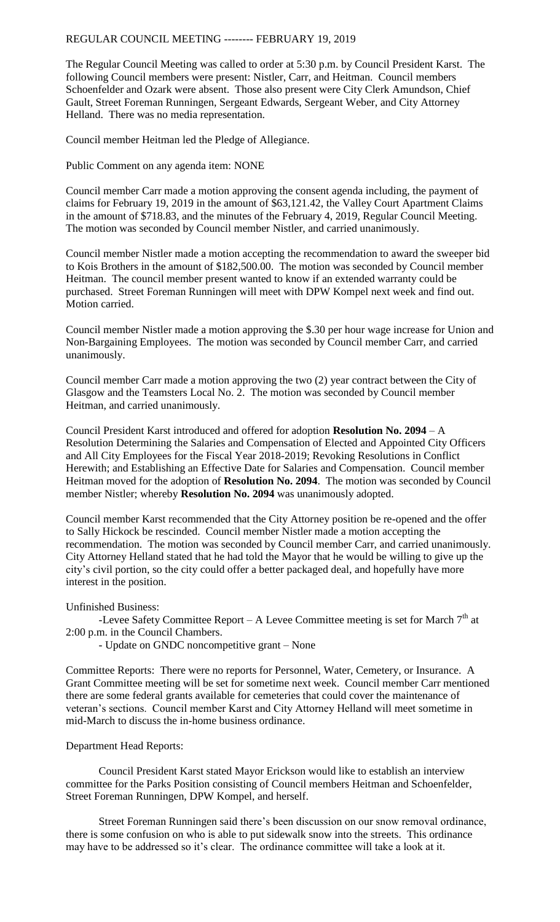## REGULAR COUNCIL MEETING -------- FEBRUARY 19, 2019

The Regular Council Meeting was called to order at 5:30 p.m. by Council President Karst. The following Council members were present: Nistler, Carr, and Heitman. Council members Schoenfelder and Ozark were absent. Those also present were City Clerk Amundson, Chief Gault, Street Foreman Runningen, Sergeant Edwards, Sergeant Weber, and City Attorney Helland. There was no media representation.

Council member Heitman led the Pledge of Allegiance.

Public Comment on any agenda item: NONE

Council member Carr made a motion approving the consent agenda including, the payment of claims for February 19, 2019 in the amount of \$63,121.42, the Valley Court Apartment Claims in the amount of \$718.83, and the minutes of the February 4, 2019, Regular Council Meeting. The motion was seconded by Council member Nistler, and carried unanimously.

Council member Nistler made a motion accepting the recommendation to award the sweeper bid to Kois Brothers in the amount of \$182,500.00. The motion was seconded by Council member Heitman. The council member present wanted to know if an extended warranty could be purchased. Street Foreman Runningen will meet with DPW Kompel next week and find out. Motion carried.

Council member Nistler made a motion approving the \$.30 per hour wage increase for Union and Non-Bargaining Employees. The motion was seconded by Council member Carr, and carried unanimously.

Council member Carr made a motion approving the two (2) year contract between the City of Glasgow and the Teamsters Local No. 2. The motion was seconded by Council member Heitman, and carried unanimously.

Council President Karst introduced and offered for adoption **Resolution No. 2094** – A Resolution Determining the Salaries and Compensation of Elected and Appointed City Officers and All City Employees for the Fiscal Year 2018-2019; Revoking Resolutions in Conflict Herewith; and Establishing an Effective Date for Salaries and Compensation. Council member Heitman moved for the adoption of **Resolution No. 2094**. The motion was seconded by Council member Nistler; whereby **Resolution No. 2094** was unanimously adopted.

Council member Karst recommended that the City Attorney position be re-opened and the offer to Sally Hickock be rescinded. Council member Nistler made a motion accepting the recommendation. The motion was seconded by Council member Carr, and carried unanimously. City Attorney Helland stated that he had told the Mayor that he would be willing to give up the city's civil portion, so the city could offer a better packaged deal, and hopefully have more interest in the position.

## Unfinished Business:

-Levee Safety Committee Report – A Levee Committee meeting is set for March  $7<sup>th</sup>$  at 2:00 p.m. in the Council Chambers.

- Update on GNDC noncompetitive grant – None

Committee Reports: There were no reports for Personnel, Water, Cemetery, or Insurance. A Grant Committee meeting will be set for sometime next week. Council member Carr mentioned there are some federal grants available for cemeteries that could cover the maintenance of veteran's sections. Council member Karst and City Attorney Helland will meet sometime in mid-March to discuss the in-home business ordinance.

## Department Head Reports:

Council President Karst stated Mayor Erickson would like to establish an interview committee for the Parks Position consisting of Council members Heitman and Schoenfelder, Street Foreman Runningen, DPW Kompel, and herself.

Street Foreman Runningen said there's been discussion on our snow removal ordinance, there is some confusion on who is able to put sidewalk snow into the streets. This ordinance may have to be addressed so it's clear. The ordinance committee will take a look at it.